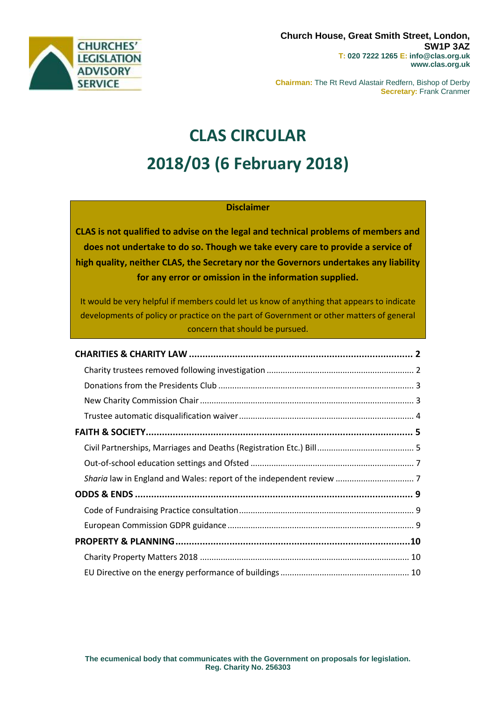

**Chairman:** The Rt Revd Alastair Redfern, Bishop of Derby **Secretary:** Frank Cranmer

# **CLAS CIRCULAR 2018/03 (6 February 2018)**

## **Disclaimer**

**CLAS is not qualified to advise on the legal and technical problems of members and does not undertake to do so. Though we take every care to provide a service of high quality, neither CLAS, the Secretary nor the Governors undertakes any liability for any error or omission in the information supplied.**

It would be very helpful if members could let us know of anything that appears to indicate developments of policy or practice on the part of Government or other matters of general concern that should be pursued.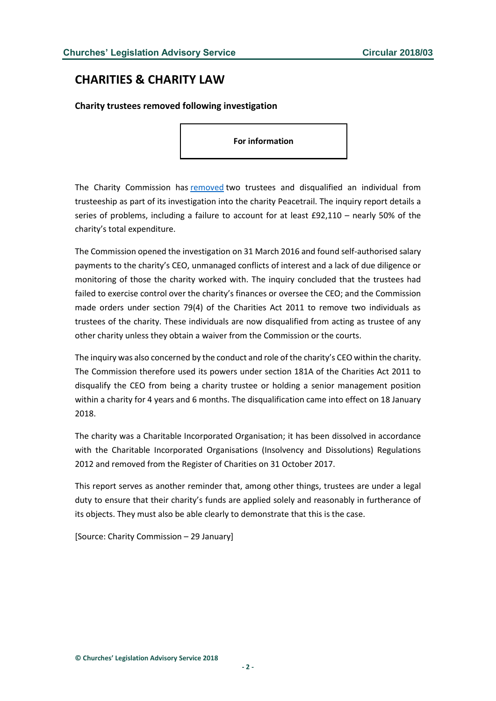# <span id="page-1-0"></span>**CHARITIES & CHARITY LAW**

<span id="page-1-1"></span>**Charity trustees removed following investigation**

**For information**

The Charity Commission has [removed](http://www.gov.uk/government/publications/charity-inquiry-peacetrail/charity-inquiry-peacetrail) two trustees and disqualified an individual from trusteeship as part of its investigation into the charity Peacetrail. The inquiry report details a series of problems, including a failure to account for at least £92,110 – nearly 50% of the charity's total expenditure.

The Commission opened the investigation on 31 March 2016 and found self-authorised salary payments to the charity's CEO, unmanaged conflicts of interest and a lack of due diligence or monitoring of those the charity worked with. The inquiry concluded that the trustees had failed to exercise control over the charity's finances or oversee the CEO; and the Commission made orders under section 79(4) of the Charities Act 2011 to remove two individuals as trustees of the charity. These individuals are now disqualified from acting as trustee of any other charity unless they obtain a waiver from the Commission or the courts.

The inquiry was also concerned by the conduct and role of the charity's CEO within the charity. The Commission therefore used its powers under section 181A of the Charities Act 2011 to disqualify the CEO from being a charity trustee or holding a senior management position within a charity for 4 years and 6 months. The disqualification came into effect on 18 January 2018.

The charity was a Charitable Incorporated Organisation; it has been dissolved in accordance with the Charitable Incorporated Organisations (Insolvency and Dissolutions) Regulations 2012 and removed from the Register of Charities on 31 October 2017.

This report serves as another reminder that, among other things, trustees are under a legal duty to ensure that their charity's funds are applied solely and reasonably in furtherance of its objects. They must also be able clearly to demonstrate that this is the case.

[Source: Charity Commission – 29 January]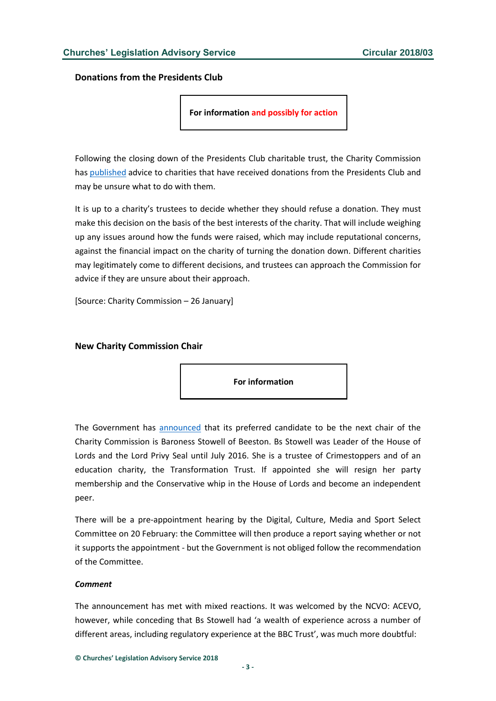<span id="page-2-0"></span>**Donations from the Presidents Club**

**For information and possibly for action**

Following the closing down of the Presidents Club charitable trust, the Charity Commission has [published](http://www.gov.uk/government/news/returning-money-to-charities) advice to charities that have received donations from the Presidents Club and may be unsure what to do with them.

It is up to a charity's trustees to decide whether they should refuse a donation. They must make this decision on the basis of the best interests of the charity. That will include weighing up any issues around how the funds were raised, which may include reputational concerns, against the financial impact on the charity of turning the donation down. Different charities may legitimately come to different decisions, and trustees can approach the Commission for advice if they are unsure about their approach.

[Source: Charity Commission – 26 January]

#### <span id="page-2-1"></span>**New Charity Commission Chair**

**For information**

The Government has [announced](https://www.gov.uk/government/news/preferred-candidate-selected-for-charity-commission-chair) that its preferred candidate to be the next chair of the Charity Commission is Baroness Stowell of Beeston. Bs Stowell was Leader of the House of Lords and the Lord Privy Seal until July 2016. She is a trustee of Crimestoppers and of an education charity, the Transformation Trust. If appointed she will resign her party membership and the Conservative whip in the House of Lords and become an independent peer.

There will be a pre-appointment hearing by the Digital, Culture, Media and Sport Select Committee on 20 February: the Committee will then produce a report saying whether or not it supports the appointment - but the Government is not obliged follow the recommendation of the Committee.

#### *Comment*

The announcement has met with mixed reactions. It was welcomed by the NCVO: ACEVO, however, while conceding that Bs Stowell had 'a wealth of experience across a number of different areas, including regulatory experience at the BBC Trust', was much more doubtful: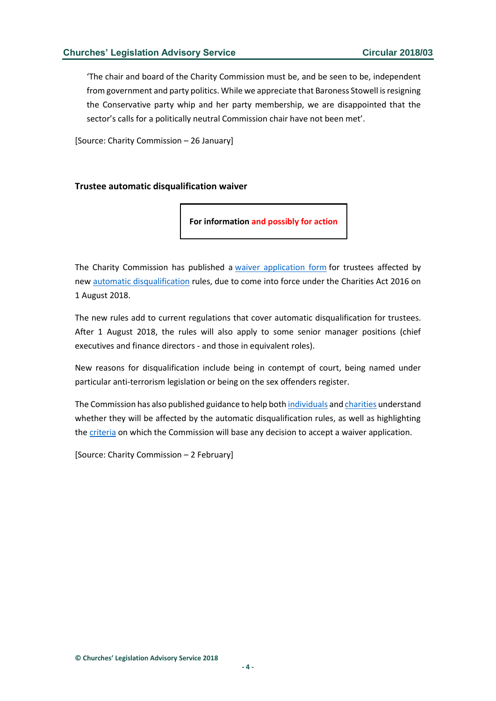'The chair and board of the Charity Commission must be, and be seen to be, independent from government and party politics. While we appreciate that Baroness Stowell is resigning the Conservative party whip and her party membership, we are disappointed that the sector's calls for a politically neutral Commission chair have not been met'.

[Source: Charity Commission – 26 January]

#### <span id="page-3-0"></span>**Trustee automatic disqualification waiver**

**For information and possibly for action**

The Charity Commission has published a [waiver application form](http://www.gov.uk/guidance/automatic-disqualification-rules-for-charity-trustees-and-charity-senior-positions#apply-waiver) for trustees affected by new [automatic disqualification](http://www.gov.uk/guidance/automatic-disqualification-rules-for-charity-trustees-and-charity-senior-positions) rules, due to come into force under the Charities Act 2016 on 1 August 2018.

The new rules add to current regulations that cover automatic disqualification for trustees. After 1 August 2018, the rules will also apply to some senior manager positions (chief executives and finance directors - and those in equivalent roles).

New reasons for disqualification include being in contempt of court, being named under particular anti-terrorism legislation or being on the sex offenders register.

The Commission has also published guidance to help both [individuals](http://www.gov.uk/guidance/automatic-disqualification-rules-for-charity-trustees-and-charity-senior-positions) and [charities](http://www.gov.uk/guidance/automatic-disqualification-rule-changes-guidance-for-charities) understand whether they will be affected by the automatic disqualification rules, as well as highlighting the [criteria](http://www.gov.uk/government/publications/how-the-charity-commission-assesses-waiver-applications-and-makes-a-decision) on which the Commission will base any decision to accept a waiver application.

[Source: Charity Commission – 2 February]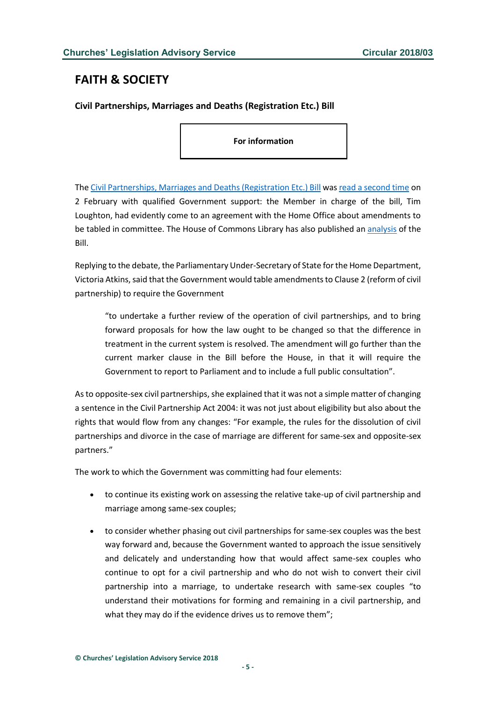# <span id="page-4-0"></span>**FAITH & SOCIETY**

## <span id="page-4-1"></span>**Civil Partnerships, Marriages and Deaths (Registration Etc.) Bill**

**For information**

The [Civil Partnerships, Marriages and Deaths \(Registration Etc.\) Bill](https://publications.parliament.uk/pa/bills/cbill/2017-2019/0011/cbill_2017-20190011_en_2.htm#l1g1) was [read a second time](https://hansard.parliament.uk/commons/2018-02-02/debates/E9121077-9E81-44A8-BBDD-AC8F4DDF0444/CivilPartnershipsMarriagesAndDeaths(RegistrationEtc)Bill) on 2 February with qualified Government support: the Member in charge of the bill, Tim Loughton, had evidently come to an agreement with the Home Office about amendments to be tabled in committee. The House of Commons Library has also published an [analysis](https://researchbriefings.parliament.uk/ResearchBriefing/Summary/CBP-8217) of the Bill.

Replying to the debate, the Parliamentary Under-Secretary of State for the Home Department, Victoria Atkins, said that the Government would table amendments to Clause 2 (reform of civil partnership) to require the Government

"to undertake a further review of the operation of civil partnerships, and to bring forward proposals for how the law ought to be changed so that the difference in treatment in the current system is resolved. The amendment will go further than the current marker clause in the Bill before the House, in that it will require the Government to report to Parliament and to include a full public consultation".

As to opposite-sex civil partnerships, she explained that it was not a simple matter of changing a sentence in the Civil Partnership Act 2004: it was not just about eligibility but also about the rights that would flow from any changes: "For example, the rules for the dissolution of civil partnerships and divorce in the case of marriage are different for same-sex and opposite-sex partners."

The work to which the Government was committing had four elements:

- to continue its existing work on assessing the relative take-up of civil partnership and marriage among same-sex couples;
- to consider whether phasing out civil partnerships for same-sex couples was the best way forward and, because the Government wanted to approach the issue sensitively and delicately and understanding how that would affect same-sex couples who continue to opt for a civil partnership and who do not wish to convert their civil partnership into a marriage, to undertake research with same-sex couples "to understand their motivations for forming and remaining in a civil partnership, and what they may do if the evidence drives us to remove them";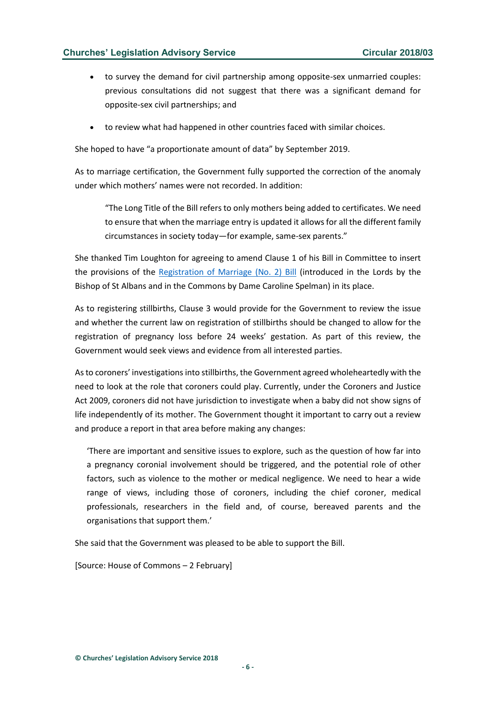### **Churches' Legislation Advisory Service Circular 2018/03**

- to survey the demand for civil partnership among opposite-sex unmarried couples: previous consultations did not suggest that there was a significant demand for opposite-sex civil partnerships; and
- to review what had happened in other countries faced with similar choices.

She hoped to have "a proportionate amount of data" by September 2019.

As to marriage certification, the Government fully supported the correction of the anomaly under which mothers' names were not recorded. In addition:

"The Long Title of the Bill refers to only mothers being added to certificates. We need to ensure that when the marriage entry is updated it allows for all the different family circumstances in society today—for example, same-sex parents."

She thanked Tim Loughton for agreeing to amend Clause 1 of his Bill in Committee to insert the provisions of the [Registration of Marriage \(No. 2\) Bill](https://services.parliament.uk/bills/2017-19/registrationofmarriageno2.html) (introduced in the Lords by the Bishop of St Albans and in the Commons by Dame Caroline Spelman) in its place.

As to registering stillbirths, Clause 3 would provide for the Government to review the issue and whether the current law on registration of stillbirths should be changed to allow for the registration of pregnancy loss before 24 weeks' gestation. As part of this review, the Government would seek views and evidence from all interested parties.

As to coroners' investigations into stillbirths, the Government agreed wholeheartedly with the need to look at the role that coroners could play. Currently, under the Coroners and Justice Act 2009, coroners did not have jurisdiction to investigate when a baby did not show signs of life independently of its mother. The Government thought it important to carry out a review and produce a report in that area before making any changes:

'There are important and sensitive issues to explore, such as the question of how far into a pregnancy coronial involvement should be triggered, and the potential role of other factors, such as violence to the mother or medical negligence. We need to hear a wide range of views, including those of coroners, including the chief coroner, medical professionals, researchers in the field and, of course, bereaved parents and the organisations that support them.'

She said that the Government was pleased to be able to support the Bill.

[Source: House of Commons – 2 February]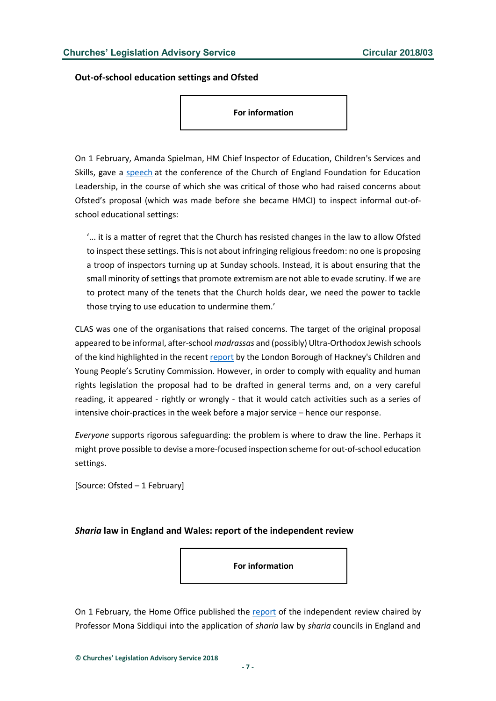<span id="page-6-0"></span>**Out-of-school education settings and Ofsted**

**For information**

On 1 February, Amanda Spielman, HM Chief Inspector of Education, Children's Services and Skills, gave a [speech](https://www.gov.uk/government/speeches/amanda-spielmans-speech-at-the-church-of-england-foundation-for-education-leadership) at the conference of the Church of England Foundation for Education Leadership, in the course of which she was critical of those who had raised concerns about Ofsted's proposal (which was made before she became HMCI) to inspect informal out-ofschool educational settings:

'... it is a matter of regret that the Church has resisted changes in the law to allow Ofsted to inspect these settings. This is not about infringing religious freedom: no one is proposing a troop of inspectors turning up at Sunday schools. Instead, it is about ensuring that the small minority of settings that promote extremism are not able to evade scrutiny. If we are to protect many of the tenets that the Church holds dear, we need the power to tackle those trying to use education to undermine them.'

CLAS was one of the organisations that raised concerns. The target of the original proposal appeared to be informal, after-school *madrassas* and (possibly) Ultra-Orthodox Jewish schools of the kind highlighted in the recent [report](http://news.hackney.gov.uk/hackneys-scrutiny-commission-releases-report-into-unregistered-schools/) by the London Borough of Hackney's Children and Young People's Scrutiny Commission. However, in order to comply with equality and human rights legislation the proposal had to be drafted in general terms and, on a very careful reading, it appeared - rightly or wrongly - that it would catch activities such as a series of intensive choir-practices in the week before a major service – hence our response.

*Everyone* supports rigorous safeguarding: the problem is where to draw the line. Perhaps it might prove possible to devise a more-focused inspection scheme for out-of-school education settings.

[Source: Ofsted – 1 February]

### <span id="page-6-1"></span>*Sharia* **law in England and Wales: report of the independent review**

**For information**

On 1 February, the Home Office published the [report](https://www.gov.uk/government/publications/applying-sharia-law-in-england-and-wales-independent-review) of the independent review chaired by Professor Mona Siddiqui into the application of *sharia* law by *sharia* councils in England and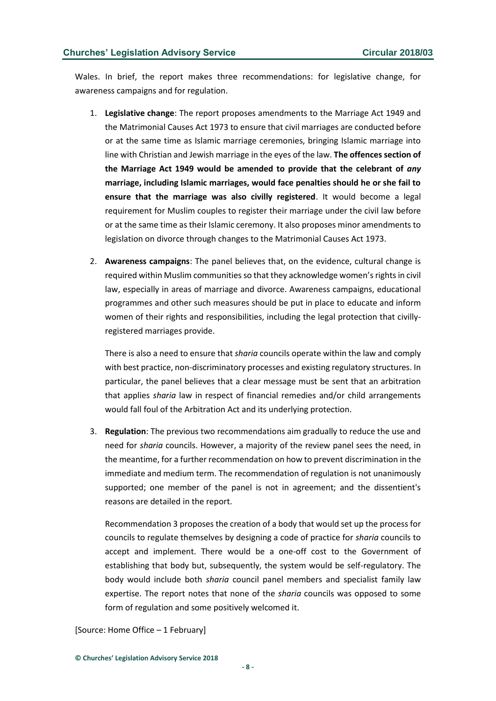Wales. In brief, the report makes three recommendations: for legislative change, for awareness campaigns and for regulation.

- 1. **Legislative change**: The report proposes amendments to the Marriage Act 1949 and the Matrimonial Causes Act 1973 to ensure that civil marriages are conducted before or at the same time as Islamic marriage ceremonies, bringing Islamic marriage into line with Christian and Jewish marriage in the eyes of the law. **The offences section of the Marriage Act 1949 would be amended to provide that the celebrant of** *any* **marriage, including Islamic marriages, would face penalties should he or she fail to ensure that the marriage was also civilly registered**. It would become a legal requirement for Muslim couples to register their marriage under the civil law before or at the same time as their Islamic ceremony. It also proposes minor amendments to legislation on divorce through changes to the Matrimonial Causes Act 1973.
- 2. **Awareness campaigns**: The panel believes that, on the evidence, cultural change is required within Muslim communities so that they acknowledge women's rights in civil law, especially in areas of marriage and divorce. Awareness campaigns, educational programmes and other such measures should be put in place to educate and inform women of their rights and responsibilities, including the legal protection that civillyregistered marriages provide.

There is also a need to ensure that *sharia* councils operate within the law and comply with best practice, non-discriminatory processes and existing regulatory structures. In particular, the panel believes that a clear message must be sent that an arbitration that applies *sharia* law in respect of financial remedies and/or child arrangements would fall foul of the Arbitration Act and its underlying protection.

3. **Regulation**: The previous two recommendations aim gradually to reduce the use and need for *sharia* councils. However, a majority of the review panel sees the need, in the meantime, for a further recommendation on how to prevent discrimination in the immediate and medium term. The recommendation of regulation is not unanimously supported; one member of the panel is not in agreement; and the dissentient's reasons are detailed in the report.

Recommendation 3 proposes the creation of a body that would set up the process for councils to regulate themselves by designing a code of practice for *sharia* councils to accept and implement. There would be a one-off cost to the Government of establishing that body but, subsequently, the system would be self-regulatory. The body would include both *sharia* council panel members and specialist family law expertise. The report notes that none of the *sharia* councils was opposed to some form of regulation and some positively welcomed it.

#### [Source: Home Office – 1 February]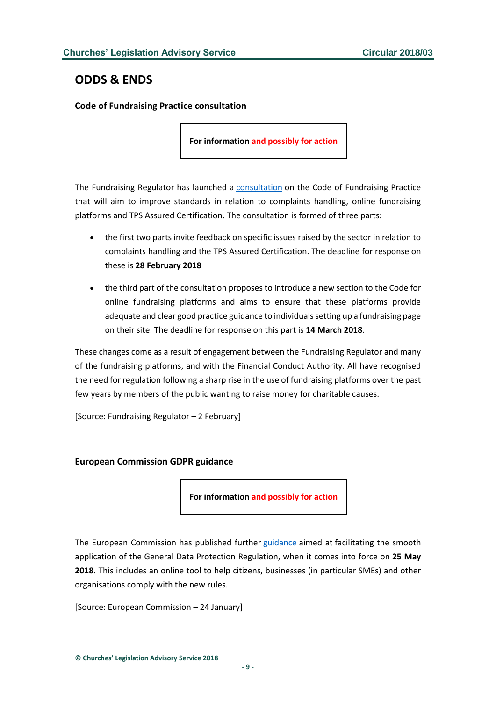# <span id="page-8-0"></span>**ODDS & ENDS**

#### <span id="page-8-1"></span>**Code of Fundraising Practice consultation**

**For information and possibly for action**

The Fundraising Regulator has launched a [consultation](http://www.fundraisingregulator.org.uk/code-of-fundraising-practice/consultations/code-consultation-feb-2018/) on the Code of Fundraising Practice that will aim to improve standards in relation to complaints handling, online fundraising platforms and TPS Assured Certification. The consultation is formed of three parts:

- the first two parts invite feedback on specific issues raised by the sector in relation to complaints handling and the TPS Assured Certification. The deadline for response on these is **28 February 2018**
- the third part of the consultation proposes to introduce a new section to the Code for online fundraising platforms and aims to ensure that these platforms provide adequate and clear good practice guidance to individualssetting up a fundraising page on their site. The deadline for response on this part is **14 March 2018**.

These changes come as a result of engagement between the Fundraising Regulator and many of the fundraising platforms, and with the Financial Conduct Authority. All have recognised the need for regulation following a sharp rise in the use of fundraising platforms over the past few years by members of the public wanting to raise money for charitable causes.

[Source: Fundraising Regulator – 2 February]

#### <span id="page-8-2"></span>**European Commission GDPR guidance**

**For information and possibly for action**

The European Commission has published further [guidance](http://ec.europa.eu/commission/priorities/justice-and-fundamental-rights/data-protection/2018-reform-eu-data-protection-rules_en) aimed at facilitating the smooth application of the General Data Protection Regulation, when it comes into force on **25 May 2018**. This includes an online tool to help citizens, businesses (in particular SMEs) and other organisations comply with the new rules.

[Source: European Commission – 24 January]